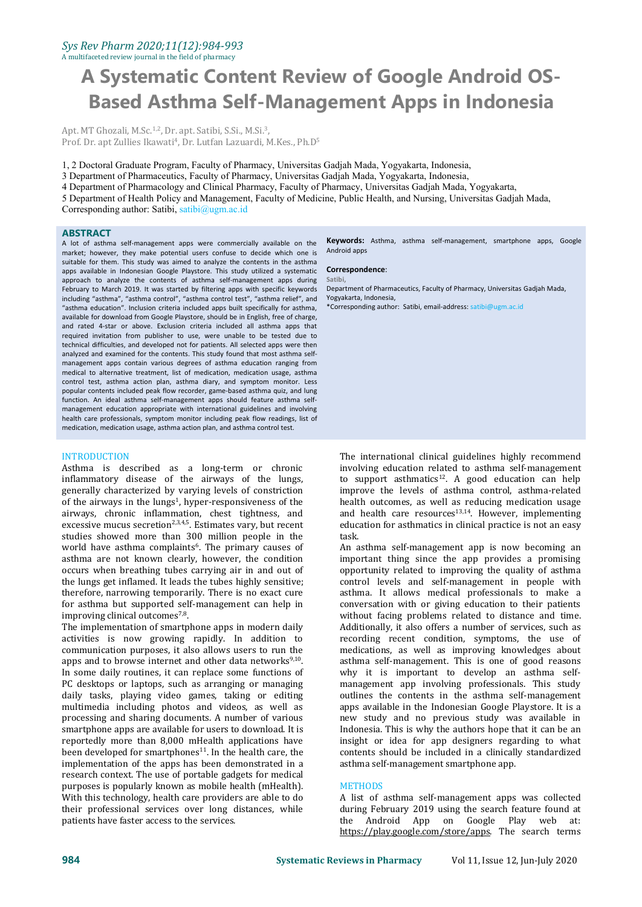#### *Sys Rev Pharm 2020;11(12):984-993* A multifaceted review journal in the field of pharmacy

**A Systematic Content Review of Google Android OS- Based Asthma Self-Management Apps in Indonesia**

Apt. MT Ghozali, M.Sc.<sup>1,2</sup>, Dr. apt. Satibi, S.Si., M.Si.<sup>3</sup>,  $\mathcal{L}$ Prof. Dr. apt Zullies Ikawati<sup>4</sup>, Dr. Lutfan Lazuardi, M.Kes., Ph.D<sup>5</sup> 5

1, 2 Doctoral Graduate Program, Faculty of Pharmacy, Universitas Gadjah Mada, Yogyakarta, Indonesia,

3 Department of Pharmaceutics, Faculty of Pharmacy, Universitas Gadjah Mada, Yogyakarta, Indonesia,

4 Department of Pharmacology and Clinical Pharmacy, Faculty of Pharmacy, Universitas Gadjah Mada, Yogyakarta,

5 Department of Health Policy and Management, Faculty of Medicine, Public Health, and Nursing, Universitas Gadjah Mada, Corresponding author: Satibi, [satibi@ugm.ac.id](mailto:satibi@ugm.ac.id)

### **ABSTRACT**

A lot of asthma self-management apps were commercially available on the market; however, they make potential users confuse to decide which one is suitable for them. This study was aimed to analyze the contents in the asthma apps available in Indonesian Google Playstore. This study utilized a systematic approach to analyze the contents of asthma self-management apps during February to March 2019. It was started by filtering apps with specific keywords including "asthma", "asthma control", "asthma control test", "asthma relief", and "asthma education". Inclusion criteria included apps built specifically for asthma, available for download from Google Playstore, should be in English, free of charge, and rated 4-star or above. Exclusion criteria included all asthma apps that required invitation from publisher to use, were unable to be tested due to technical difficulties, and developed not for patients. All selected apps were then analyzed and examined for the contents. This study found that most asthma self management apps contain various degrees of asthma education ranging from medical to alternative treatment, list of medication, medication usage, asthma control test, asthma action plan, asthma diary, and symptom monitor. Less popular contents included peak flow recorder, game-based asthma quiz, and lung function. An ideal asthma self-management apps should feature asthma self management education appropriate with international guidelines and involving health care professionals, symptom monitor including peak flow readings, list of medication, medication usage, asthma action plan, and asthma control test.

INTRODUCTION Asthma is described as a long-term or chronic inflammatory disease of the airways of the lungs, generally characterized by varying levels of constriction of the airways in the lungs<sup>1</sup>, hyper-responsiveness of the health outco airways, chronic inflammation, chest tightness, and excessive mucus secretion<sup>2,3,4,5</sup>. Estimates vary, but recent educational studies showed more than 300 million people in the world have asthma complaints 6 . The primary causes of asthma are not known clearly, however, the condition occurs when breathing tubes carrying air in and out of the lungs get inflamed. It leads the tubes highly sensitive; therefore, narrowing temporarily. There is no exact cure for asthma but supported self-management can help in improving clinical outcomes<sup>7,8</sup>. .

The implementation of smartphone apps in modern daily activities is now growing rapidly. In addition to communication purposes, it also allows users to run the apps and to browse internet and other data networks $9,10$ . . In some daily routines, it can replace some functions of PC desktops or laptops, such as arranging or managing daily tasks, playing video games, taking or editing multimedia including photos and videos, as well as processing and sharing documents. A number of various smartphone apps are available for users to download. It is reportedly more than 8,000 mHealth applications have been developed for smartphones<sup>11</sup>. In the health care, the contents sho implementation of the apps has been demonstrated in a research context. The use of portable gadgets for medical purposes is popularly known as mobile health (mHealth). With this technology, health care providers are able to do their professional services over long distances, while patients have faster access to the services.

**Keywords:** Asthma, asthma self-management, smartphone apps, Google Android apps

#### **Correspondence**:

**Satibi,**

Department of Pharmaceutics, Faculty of Pharmacy, Universitas Gadjah Mada, Yogyakarta, Indonesia,

\*Corresponding author: Satibi, email-address: [satibi@ugm.ac.id](mailto:satibi@ugm.ac.id)

The international clinical guidelines highly recommend involving education related to asthma self-management to support asthmatics 12 . A good education can help improve the levels of asthma control, asthma-related health outcomes, as well as reducing medication usage and health care resources<sup>13,14</sup>. However, implementing education for asthmatics in clinical practice is not an easy task.

9,10 asthma self-management. This is one of good reasons An asthma self-management app is now becoming an important thing since the app provides a promising opportunity related to improving the quality of asthma control levels and self-management in people with asthma. It allows medical professionals to make a conversation with or giving education to their patients without facing problems related to distance and time. Additionally, it also offers a number of services, such as recording recent condition, symptoms, the use of medications, as well as improving knowledges about why it is important to develop an asthma self management app involving professionals. This study outlines the contents in the asthma self-management apps available in the Indonesian Google Playstore. It is a new study and no previous study was available in Indonesia. This is why the authors hope that it can be an insight or idea for app designers regarding to what contents should be included in a clinically standardized asthma self-management smartphone app.

#### **METHODS**

A list of asthma self-management apps was collected during February 2019 using the search feature found at the Android App on Google Play web at: <https://play.google.com/store/apps>. The search terms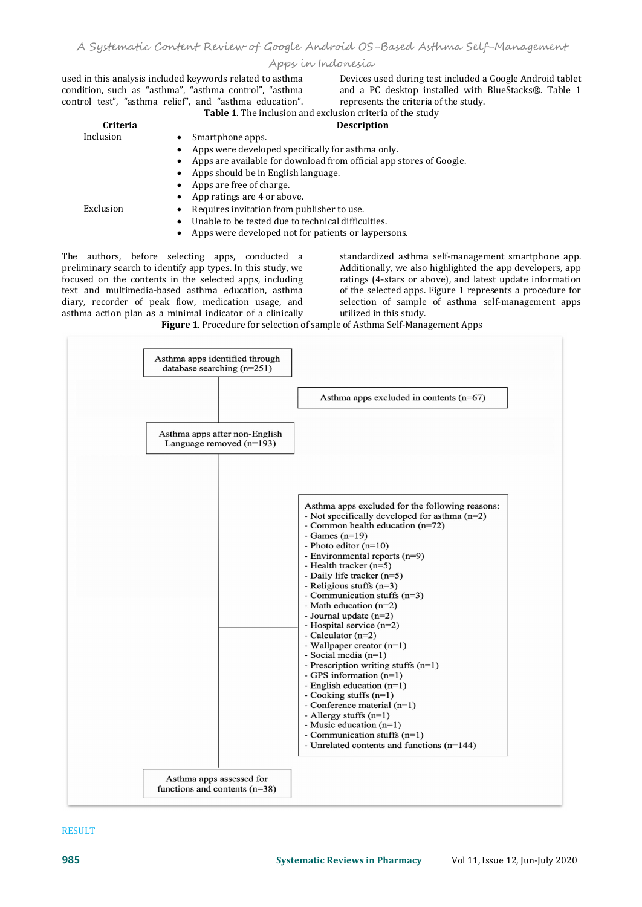condition, such as "asthma", "asthma control", "asthma

used in this analysis included keywords related to asthma<br>
condition, such as "asthma", "asthma control", "asthma and a PC desktop installed with BlueStacks®. Table 1 used in this analysis included keywords related to asthma<br>condition, such as "asthma", "asthma control", "asthma and a PC desktop installed with BlueStacks®. Table 1<br>control test", "asthma relief", and "asthma education". represents the criteria of the study. **Table <sup>1</sup>**. The inclusion and exclusion criteria of the study

| <b>Criteria</b><br><b>Description</b> |                                                                     |  |  |  |
|---------------------------------------|---------------------------------------------------------------------|--|--|--|
| Inclusion                             | Smartphone apps.                                                    |  |  |  |
|                                       | Apps were developed specifically for asthma only.                   |  |  |  |
|                                       | Apps are available for download from official app stores of Google. |  |  |  |
|                                       | Apps should be in English language.<br>٠                            |  |  |  |
|                                       | Apps are free of charge.                                            |  |  |  |
|                                       | App ratings are 4 or above.                                         |  |  |  |
| Exclusion                             | Requires invitation from publisher to use.                          |  |  |  |
|                                       | Unable to be tested due to technical difficulties.<br>$\bullet$     |  |  |  |
|                                       | Apps were developed not for patients or laypersons.                 |  |  |  |

The authors, before selecting apps, conducted a preliminary search to identify app types. In this study, we focused on the contents in the selected apps, including text and multimedia-based asthma education, asthma diary, recorder of peak flow, medication usage, and selection of sample asthma action plan as a minimal indicator of a clinically utilized in this study. asthma action plan as a minimal indicator of a clinically

standardized asthma self-management smartphone app. Additionally, we also highlighted the app developers, app ratings (4-stars or above), and latest update information of the selected apps. Figure 1 represents a procedure for selection of sample of asthma self-management apps

Figure 1. Procedure for selection of sample of Asthma Self-Management Apps



### RESULT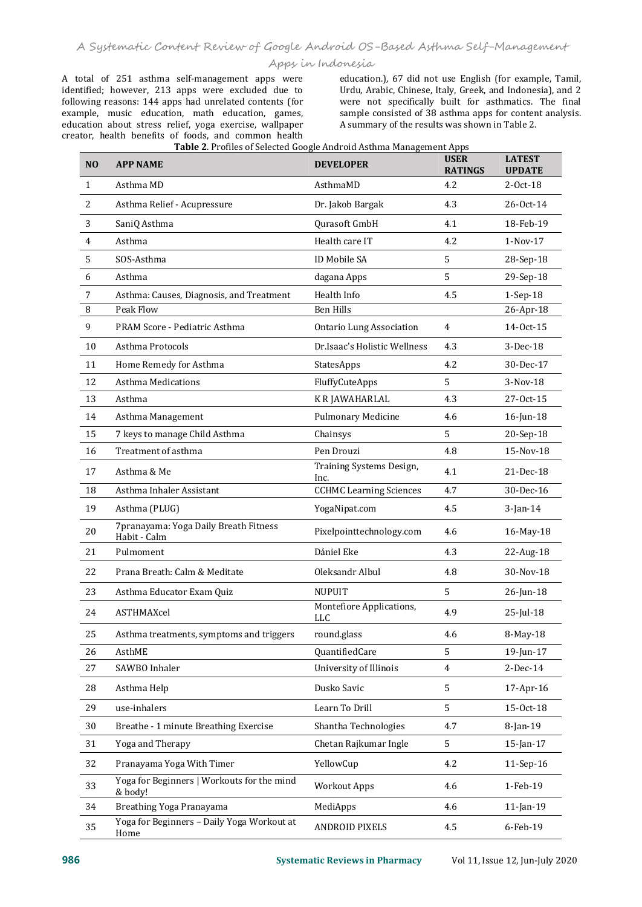A total of 251 asthma self-management apps were identified; however, 213 apps were excluded due to following reasons: 144 apps had unrelated contents (for example, music education, math education, games, education about stress relief, yoga exercise, wallpaper creator, health benefits of foods, and common health

education.), 67 did not use English (for example, Tamil, Urdu, Arabic, Chinese, Italy, Greek, and Indonesia), and 2 were not specifically built for asthmatics. The final sample consisted of 38 asthma apps for content analysis. A summary of the results was shown in Table 2.

| N <sub>O</sub> | <b>APP NAME</b>                                       | <b>Table 2.</b> I Tomes of Sciected Google Amaroid Astinia Management Apps<br><b>DEVELOPER</b> | <b>USER</b><br><b>RATINGS</b> | <b>LATEST</b><br><b>UPDATE</b> |
|----------------|-------------------------------------------------------|------------------------------------------------------------------------------------------------|-------------------------------|--------------------------------|
| 1              | Asthma MD                                             | AsthmaMD                                                                                       | 4.2                           | 2-Oct-18                       |
| 2              | Asthma Relief - Acupressure                           | Dr. Jakob Bargak                                                                               | 4.3                           | 26-Oct-14                      |
| 3              | SaniQ Asthma                                          | Qurasoft GmbH                                                                                  | 4.1                           | 18-Feb-19                      |
| 4              | Asthma                                                | Health care IT                                                                                 | 4.2                           | $1-Nov-17$                     |
| 5              | SOS-Asthma                                            | ID Mobile SA                                                                                   | 5                             | 28-Sep-18                      |
| 6              | Asthma                                                | dagana Apps                                                                                    | 5                             | 29-Sep-18                      |
| 7              | Asthma: Causes, Diagnosis, and Treatment              | Health Info                                                                                    | 4.5                           | 1-Sep-18                       |
| 8              | Peak Flow                                             | <b>Ben Hills</b>                                                                               |                               | 26-Apr-18                      |
| 9              | PRAM Score - Pediatric Asthma                         | <b>Ontario Lung Association</b>                                                                | 4                             | 14-Oct-15                      |
| 10             | Asthma Protocols                                      | Dr.Isaac's Holistic Wellness                                                                   | 4.3                           | 3-Dec-18                       |
| 11             | Home Remedy for Asthma                                | StatesApps                                                                                     | 4.2                           | 30-Dec-17                      |
| 12             | Asthma Medications                                    | FluffyCuteApps                                                                                 | 5                             | 3-Nov-18                       |
| 13             | Asthma                                                | K R JAWAHARLAL                                                                                 | 4.3                           | 27-Oct-15                      |
| 14             | Asthma Management                                     | Pulmonary Medicine                                                                             | 4.6                           | 16-Jun-18                      |
| 15             | 7 keys to manage Child Asthma                         | Chainsys                                                                                       | 5                             | 20-Sep-18                      |
| 16             | Treatment of asthma                                   | Pen Drouzi                                                                                     | 4.8                           | 15-Nov-18                      |
| 17             | Asthma & Me                                           | Training Systems Design,<br>Inc.                                                               | 4.1                           | 21-Dec-18                      |
| 18             | Asthma Inhaler Assistant                              | <b>CCHMC</b> Learning Sciences                                                                 | 4.7                           | 30-Dec-16                      |
| 19             | Asthma (PLUG)                                         | YogaNipat.com                                                                                  | 4.5                           | 3-Jan-14                       |
| $20\,$         | 7pranayama: Yoga Daily Breath Fitness<br>Habit - Calm | Pixelpointtechnology.com                                                                       | 4.6                           | 16-May-18                      |
| 21             | Pulmoment                                             | Dániel Eke                                                                                     | 4.3                           | 22-Aug-18                      |
| 22             | Prana Breath: Calm & Meditate                         | Oleksandr Albul                                                                                | 4.8                           | 30-Nov-18                      |
| 23             | Asthma Educator Exam Quiz                             | NUPUIT                                                                                         | 5                             | 26-Jun-18                      |
| 24             | ASTHMAXcel                                            | Montefiore Applications,<br><b>LLC</b>                                                         | 4.9                           | $25$ -Jul-18                   |
| 25             | Asthma treatments, symptoms and triggers              | round.glass                                                                                    | 4.6                           | 8-May-18                       |
| 26             | AsthME                                                | QuantifiedCare                                                                                 | 5                             | 19-Jun-17                      |
| 27             | SAWBO Inhaler                                         | University of Illinois                                                                         | 4                             | $2-Dec-14$                     |
| 28             | Asthma Help                                           | Dusko Savic                                                                                    | 5                             | 17-Apr-16                      |
| 29             | use-inhalers                                          | Learn To Drill                                                                                 | 5                             | 15-Oct-18                      |
| 30             | Breathe - 1 minute Breathing Exercise                 | Shantha Technologies                                                                           | 4.7                           | 8-Jan-19                       |
| 31             | Yoga and Therapy                                      | Chetan Rajkumar Ingle                                                                          | 5                             | 15-Jan-17                      |
| 32             | Pranayama Yoga With Timer                             | YellowCup                                                                                      | 4.2                           | 11-Sep-16                      |
| 33             | Yoga for Beginners   Workouts for the mind<br>& body! | <b>Workout Apps</b>                                                                            | 4.6                           | 1-Feb-19                       |
| 34             | Breathing Yoga Pranayama                              | MediApps                                                                                       | 4.6                           | 11-Jan-19                      |
| 35             | Yoga for Beginners - Daily Yoga Workout at<br>Home    | <b>ANDROID PIXELS</b>                                                                          | 4.5                           | 6-Feb-19                       |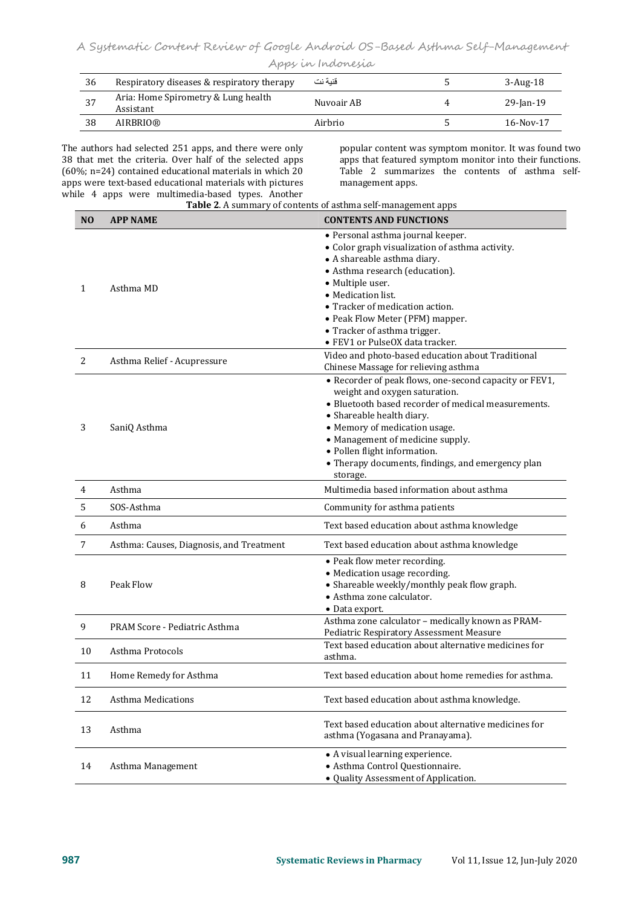|  | Apps in Indonesia |  |
|--|-------------------|--|
|--|-------------------|--|

| 36   | Respiratory diseases & respiratory therapy       | قنبة نت    | $3$ -Aug-18 |
|------|--------------------------------------------------|------------|-------------|
| - 37 | Aria: Home Spirometry & Lung health<br>Assistant | Nuvoair AB | 29-Jan-19   |
| 38   | AIRBRIO®                                         | Airbrio    | $16-Nov-17$ |

The authors had selected 251 apps, and there were only popular content was symptom monitor. It was found two 38 that met the criteria. Over half of the selected apps (60%; n=24) contained educational materials in which 20 apps were text-based educational materials with pictures<br>while 4 apps were multimedia-based types. Another The authors had selected 251 apps, and there were only<br>38 that met the criteria. Over half of the selected apps<br>(60%; n=24) contained educational materials in which 20<br>apps were text-based educational materials with pictur

apps that featured symptom monitor into their functions. Table 2 summarizes the contents of asthma self management apps.

|                | Table 2. A summary of contents of asthma self-management apps |                                                                                                                                                                                                                                                                                                                                                                                                                                       |  |  |  |  |
|----------------|---------------------------------------------------------------|---------------------------------------------------------------------------------------------------------------------------------------------------------------------------------------------------------------------------------------------------------------------------------------------------------------------------------------------------------------------------------------------------------------------------------------|--|--|--|--|
| N <sub>O</sub> | <b>APP NAME</b>                                               | <b>CONTENTS AND FUNCTIONS</b>                                                                                                                                                                                                                                                                                                                                                                                                         |  |  |  |  |
| 1<br>2         | Asthma MD<br>Asthma Relief - Acupressure                      | • Personal asthma journal keeper.<br>• Color graph visualization of asthma activity.<br>• A shareable asthma diary.<br>• Asthma research (education).<br>• Multiple user.<br>• Medication list.<br>• Tracker of medication action.<br>• Peak Flow Meter (PFM) mapper.<br>• Tracker of asthma trigger.<br>• FEV1 or PulseOX data tracker.<br>Video and photo-based education about Traditional<br>Chinese Massage for relieving asthma |  |  |  |  |
| 3              | SaniQ Asthma                                                  | • Recorder of peak flows, one-second capacity or FEV1,<br>weight and oxygen saturation.<br>• Bluetooth based recorder of medical measurements.<br>• Shareable health diary.<br>• Memory of medication usage.<br>• Management of medicine supply.<br>· Pollen flight information.<br>• Therapy documents, findings, and emergency plan<br>storage.                                                                                     |  |  |  |  |
| 4              | Asthma                                                        | Multimedia based information about asthma                                                                                                                                                                                                                                                                                                                                                                                             |  |  |  |  |
| 5              | SOS-Asthma                                                    | Community for asthma patients                                                                                                                                                                                                                                                                                                                                                                                                         |  |  |  |  |
| 6              | Asthma                                                        | Text based education about asthma knowledge                                                                                                                                                                                                                                                                                                                                                                                           |  |  |  |  |
| 7              | Asthma: Causes, Diagnosis, and Treatment                      | Text based education about asthma knowledge                                                                                                                                                                                                                                                                                                                                                                                           |  |  |  |  |
| 8              | Peak Flow                                                     | • Peak flow meter recording.<br>• Medication usage recording.<br>• Shareable weekly/monthly peak flow graph.<br>• Asthma zone calculator.<br>• Data export.                                                                                                                                                                                                                                                                           |  |  |  |  |
| 9              | PRAM Score - Pediatric Asthma                                 | Asthma zone calculator - medically known as PRAM-<br>Pediatric Respiratory Assessment Measure                                                                                                                                                                                                                                                                                                                                         |  |  |  |  |
| 10             | Asthma Protocols                                              | Text based education about alternative medicines for<br>asthma.                                                                                                                                                                                                                                                                                                                                                                       |  |  |  |  |
| 11             | Home Remedy for Asthma                                        | Text based education about home remedies for asthma.                                                                                                                                                                                                                                                                                                                                                                                  |  |  |  |  |
| 12             | <b>Asthma Medications</b>                                     | Text based education about asthma knowledge.                                                                                                                                                                                                                                                                                                                                                                                          |  |  |  |  |
| 13             | Asthma                                                        | Text based education about alternative medicines for<br>asthma (Yogasana and Pranayama).                                                                                                                                                                                                                                                                                                                                              |  |  |  |  |
| 14             | Asthma Management                                             | • A visual learning experience.<br>· Asthma Control Questionnaire.<br>• Quality Assessment of Application.                                                                                                                                                                                                                                                                                                                            |  |  |  |  |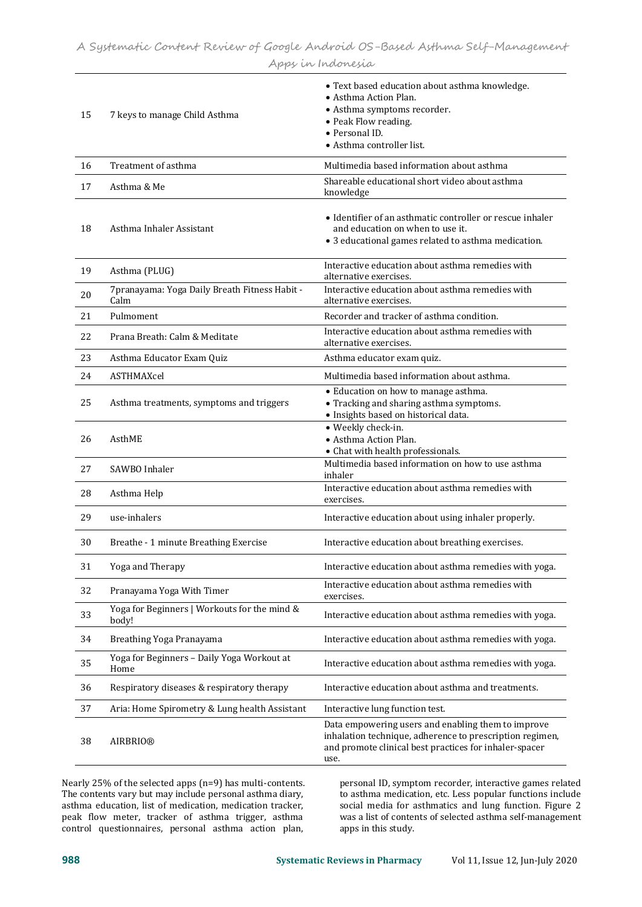| 15 | 7 keys to manage Child Asthma                          | • Text based education about asthma knowledge.<br>• Asthma Action Plan.<br>• Asthma symptoms recorder.<br>• Peak Flow reading.<br>· Personal ID.<br>• Asthma controller list.    |
|----|--------------------------------------------------------|----------------------------------------------------------------------------------------------------------------------------------------------------------------------------------|
| 16 | Treatment of asthma                                    | Multimedia based information about asthma                                                                                                                                        |
| 17 | Asthma & Me                                            | Shareable educational short video about asthma<br>knowledge                                                                                                                      |
| 18 | Asthma Inhaler Assistant                               | • Identifier of an asthmatic controller or rescue inhaler<br>and education on when to use it.<br>• 3 educational games related to asthma medication.                             |
| 19 | Asthma (PLUG)                                          | Interactive education about asthma remedies with<br>alternative exercises.                                                                                                       |
| 20 | 7 pranayama: Yoga Daily Breath Fitness Habit -<br>Calm | Interactive education about asthma remedies with<br>alternative exercises.                                                                                                       |
| 21 | Pulmoment                                              | Recorder and tracker of asthma condition.                                                                                                                                        |
| 22 | Prana Breath: Calm & Meditate                          | Interactive education about asthma remedies with<br>alternative exercises.                                                                                                       |
| 23 | Asthma Educator Exam Quiz                              | Asthma educator exam quiz.                                                                                                                                                       |
| 24 | ASTHMAXcel                                             | Multimedia based information about asthma.                                                                                                                                       |
| 25 | Asthma treatments, symptoms and triggers               | • Education on how to manage asthma.<br>• Tracking and sharing asthma symptoms.<br>· Insights based on historical data.                                                          |
| 26 | AsthME                                                 | · Weekly check-in.<br>· Asthma Action Plan.<br>• Chat with health professionals.                                                                                                 |
| 27 | SAWBO Inhaler                                          | Multimedia based information on how to use asthma<br>inhaler                                                                                                                     |
| 28 | Asthma Help                                            | Interactive education about asthma remedies with<br>exercises.                                                                                                                   |
| 29 | use-inhalers                                           | Interactive education about using inhaler properly.                                                                                                                              |
| 30 | Breathe - 1 minute Breathing Exercise                  | Interactive education about breathing exercises.                                                                                                                                 |
| 31 | Yoga and Therapy                                       | Interactive education about asthma remedies with yoga.                                                                                                                           |
| 32 | Pranayama Yoga With Timer                              | Interactive education about asthma remedies with<br>exercises.                                                                                                                   |
| 33 | Yoga for Beginners   Workouts for the mind &<br>body!  | Interactive education about asthma remedies with yoga.                                                                                                                           |
| 34 | Breathing Yoga Pranayama                               | Interactive education about asthma remedies with yoga.                                                                                                                           |
| 35 | Yoga for Beginners - Daily Yoga Workout at<br>Home     | Interactive education about asthma remedies with yoga.                                                                                                                           |
| 36 | Respiratory diseases & respiratory therapy             | Interactive education about asthma and treatments.                                                                                                                               |
| 37 | Aria: Home Spirometry & Lung health Assistant          | Interactive lung function test.                                                                                                                                                  |
| 38 | <b>AIRBRIO®</b>                                        | Data empowering users and enabling them to improve<br>inhalation technique, adherence to prescription regimen,<br>and promote clinical best practices for inhaler-spacer<br>use. |

The contents vary but may include personal asthma diary, asthma education, list of medication, medication tracker, peak flow meter, tracker of asthma trigger, asthma Nearly 25% of the selected apps (n=9) has multi-contents.<br>
The contents vary but may include personal asthma diary,<br>
asthma education, list of medication, medication tracker,<br>
peak flow meter, tracker of asthma trigger, as

Nearly 25% of the selected apps (n=9) has multi-contents. personal ID, symptom recorder, interactive games related to asthma medication, etc. Less popular functions include social media for asthmatics and lung function. Figure 2 was a list of contents of selected asthma self-management apps in this study.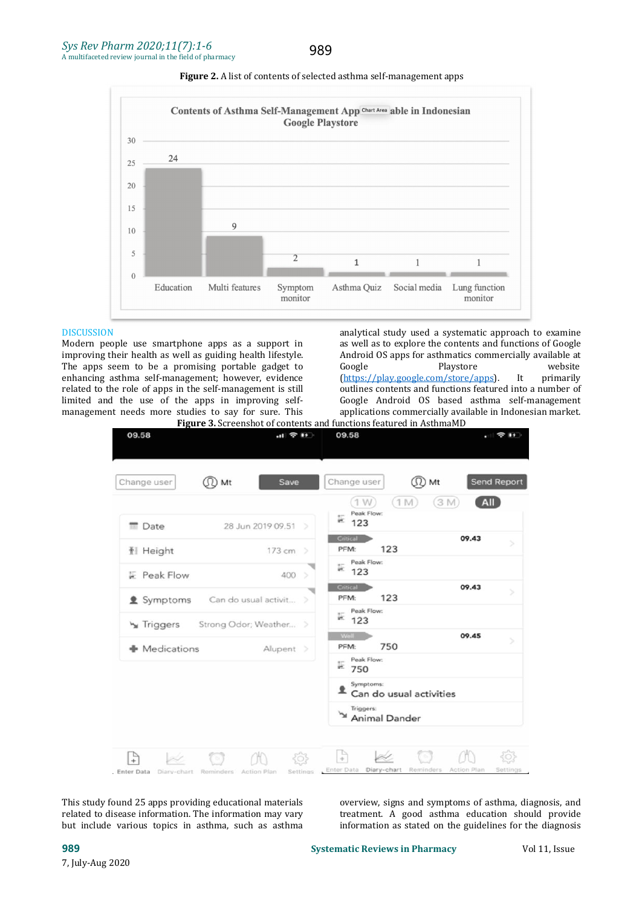989





#### **DISCUSSION**

Modern people use smartphone apps as a support in improving their health as well as guiding health lifestyle. Androing the apps seem to be a promising portable gadget to Google The apps seem to be a promising portable gadget to enhancing asthma self-management; however, evidence related to the role of apps in the self-management is still limited and the use of the apps in improving self-<br>management of OS based asthma self-management<br>management needs more studies to say for sure. This<br>applications commercially available in Indonesian market. management needs more studies to say for sure.This

analytical study used a systematic approach to examine as well as to explore the contents and functions of Google Android OS apps for asthmatics commercially available at Google<br>
Playstore methods are velosite Google Playstore website (<https://play.google.com/store/apps>). It primarily outlines contents and functions featured into a number of Google Android OS based asthma self-management Figure 3. Screenshot of contents and functions featured in AsthmaMD

| 09.58           | $\mathbf{H} \otimes \mathbf{H}$ |               | 09.58                                          | $\approx$ 1+ $\approx$ |
|-----------------|---------------------------------|---------------|------------------------------------------------|------------------------|
| Change user     | JD Mt<br>Save                   |               | Change user<br>(17)                            | Send Report<br>Mt      |
| <b>Date</b>     | 28 Jun 2019 09.51 >             |               | (1M)<br>(1W)<br>Peak Flow:<br>$\overline{123}$ | All<br>(3M)            |
| <b>1</b> Height | 173 cm >                        |               | Critical<br>123<br>PFM:                        | 09.43<br>s             |
| F Peak Flow     | 400                             | $\rightarrow$ | Peak Flow:<br>w.<br>123                        |                        |
| 鱼 Symptoms      | Can do usual activit >          |               | Critical<br>123<br>PFM:                        | 09.43<br>5             |
| Triggers        | Strong Odor; Weather >          |               | Peak Flow:<br>E<br>123                         |                        |
| • Medications   | Alupent >                       |               | <b>Well</b><br>750<br>PFM:                     | 09.45<br>S             |
|                 |                                 |               | Peak Flow:<br>$= 750$                          |                        |
|                 |                                 |               | Symptoms:<br>Can do usual activities           |                        |
|                 |                                 |               | Triggers:<br><b>Animal Dander</b>              |                        |

This study found 25 apps providing educational materials related to disease information. The information may vary but include various topics in asthma, such as asthma

This study found 25 apps providing educational materials overview, signs and symptoms of asthma, diagnosis, and<br>related to disease information. The information may vary treatment. A good asthma education should provide<br>but treatment. A good asthma education should provide information as stated on the guidelines for the diagnosis

**989 Systematic Reviews in Pharmacy** Vol 11, Issue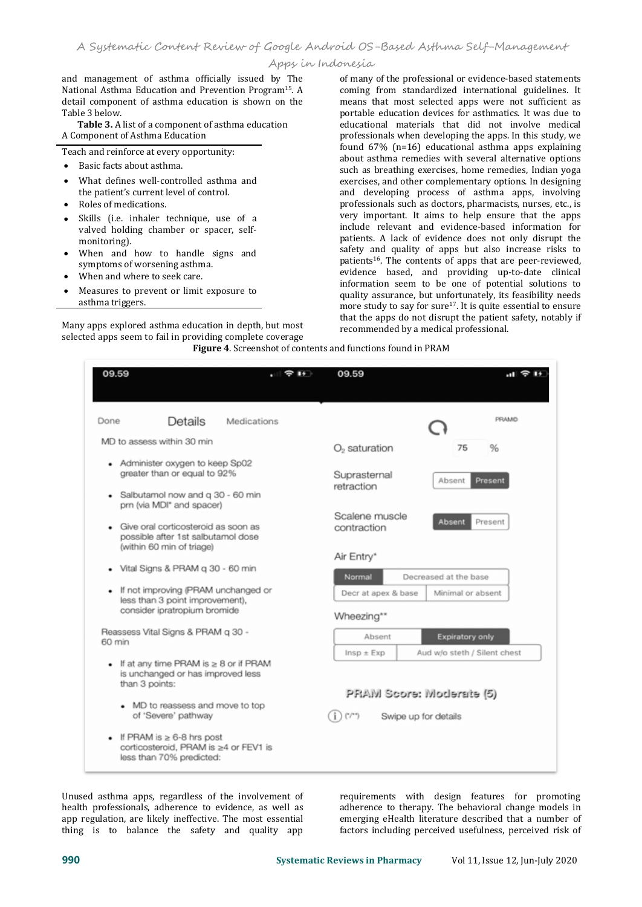and management of asthma officially issued by The National Asthma Education and Prevention Program<sup>15</sup>. A detail component of asthma education is shown on the Table 3 helow

Table 3. A list of a component of asthma education A Component of Asthma Education

Teach and reinforce at every opportunity:

- Basic facts about asthma.
- What defines well-controlled asthma and the patient's current level of control. Roles of medications.
- 
- Skills (i.e. inhaler technique, use of a valved holding chamber or spacer, self-<br>monitoring).
- When and how to handle signs and symptoms of worsening asthma.
- When and where to seek care.
- Measures to prevent or limit exposure to asthma triggers.

Many apps explored asthma education in depth, but most selected apps seem to fail in providing complete coverage **Figure 4**. Screenshot of contents and functions found in PRAM

. A coming from standardized international guidelines. It of many of the professional or evidence-based statements means that most selected apps were not sufficient as portable education devices for asthmatics. It was due to educational materials that did not involve medical professionals when developing the apps. In this study, we found 67% (n=16) educational asthma apps explaining about asthma remedies with several alternative options such as breathing exercises, home remedies, Indian yoga exercises, and other complementary options. In designing and developing process of asthma apps, involving professionals such as doctors, pharmacists, nurses, etc., is very important. It aims to help ensure that the apps include relevant and evidence-based information for patients. A lack of evidence does not only disrupt the safety and quality of apps but also increase risks to patients 16 . The contents of apps that are peer-reviewed, evidence based, and providing up-to-date clinical information seem to be one of potential solutions to quality assurance, but unfortunately, its feasibility needs more study to say for sure<sup>17</sup>. It is quite essential to ensure that the apps do not disrupt the patient safety, notably if recommended by a medical professional.

| 09.59                                                            |                                                                                 | 09.59                                         |                                                        |
|------------------------------------------------------------------|---------------------------------------------------------------------------------|-----------------------------------------------|--------------------------------------------------------|
| Done<br>MD to assess within 30 min                               | Details<br>Medications                                                          |                                               | PRAMO                                                  |
| • Administer oxygen to keep Sp02<br>greater than or equal to 92% |                                                                                 | $O2$ saturation<br>Suprasternal<br>retraction | 75<br>%<br>Present<br>Absent                           |
| prn (via MDI* and spacer)                                        | Salbutamol now and q 30 - 60 min<br>Give oral corticosteroid as soon as         | Scalene muscle<br>contraction                 | <b>Absent</b><br>Present                               |
| (within 60 min of triage)                                        | possible after 1st salbutamol dose<br>Vital Signs & PRAM g 30 - 60 min          | Air Entry*<br>Normal                          | Decreased at the base                                  |
| consider ipratropium bromide                                     | If not improving (PRAM unchanged or<br>less than 3 point improvement).          | Decr at apex & base<br>Wheezing**             | Minimal or absent                                      |
| Reassess Vital Signs & PRAM g 30 -<br>60 min                     |                                                                                 | Absent<br>$Insp \pm Exp$                      | <b>Expiratory only</b><br>Aud w/o steth / Silent chest |
| than 3 points:                                                   | If at any time PRAM is $\geq 8$ or if PRAM<br>is unchanged or has improved less |                                               | PRAM Score: Moderate (5)                               |
| of 'Severe' pathway                                              | • MD to reassess and move to top                                                | ('/''')                                       | Swipe up for details                                   |
| If PRAM is $\geq 6-8$ hrs post<br>less than 70% predicted:       | corticosteroid, PRAM is ≥4 or FEV1 is                                           |                                               |                                                        |

Unused asthma apps, regardless of the involvement of health professionals, adherence to evidence, as well as app regulation, are likely ineffective. The most essential thing is to balance the safety and quality app

requirements with design features for promoting adherence to therapy. The behavioral change models in emerging eHealth literature described that a number of factors including perceived usefulness, perceived risk of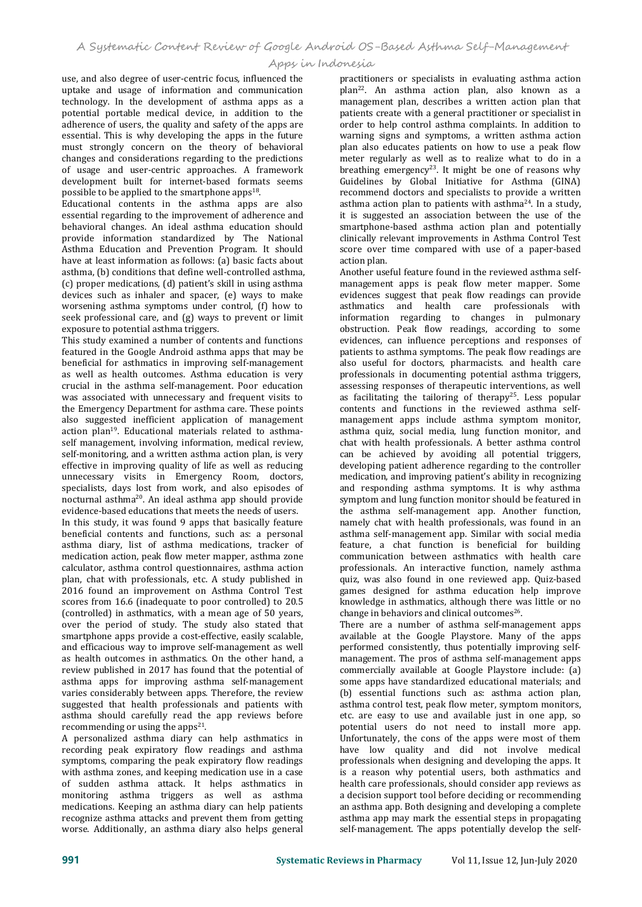use, and also degree of user-centric focus, influenced the uptake and usage of information and communication technology. In the development of asthma apps as a potential portable medical device, in addition to the adherence of users, the quality and safety of the apps are essential. This is why developing the apps in the future must strongly concern on the theory of behavioral changes and considerations regarding to the predictions of usage and user-centric approaches. A framework development built for internet-based formats seems possible to be applied to the smartphone apps<sup>18</sup>. .

Educational contents in the asthma apps are also essential regarding to the improvement of adherence and behavioral changes. An ideal asthma education should provide information standardized by The National Asthma Education and Prevention Program. It should score over<br>have at least information as follows: (a) basic facts about action plan have at least information as follows: (a) basic facts about asthma, (b) conditions that define well-controlled asthma, (c) proper medications, (d) patient's skill in using asthma devices such as inhaler and spacer, (e) ways to make worsening asthma symptoms under control, (f) how to seek professional care, and (g) ways to prevent or limit exposure to potential asthma triggers.

This study examined a number of contents and functions featured in the Google Android asthma apps that may be beneficial for asthmatics in improving self-management as well as health outcomes. Asthma education is very crucial in the asthma self-management. Poor education was associated with unnecessary and frequent visits to the Emergency Department for asthma care. These points also suggested inefficient application of management action plan 19 . Educational materials related to asthma self management, involving information, medical review, self-monitoring, and a written asthma action plan, is very effective in improving quality of life as well as reducing unnecessary visits in Emergency Room, doctors, specialists, days lost from work, and also episodes of nocturnal asthma<sup>20</sup>. An ideal asthma app should provide symptom and evidence-based educations that meets the needs of users.

In this study, it was found 9 apps that basically feature beneficial contents and functions, such as: a personal asthma diary, list of asthma medications, tracker of medication action, peak flow meter mapper, asthma zone calculator, asthma control questionnaires, asthma action plan, chat with professionals, etc. A study published in 2016 found an improvement on Asthma Control Test scores from 16.6 (inadequate to poor controlled) to 20.5 (controlled) in asthmatics, with a mean age of 50 years, over the period of study. The study also stated that smartphone apps provide a cost-effective, easily scalable, and efficacious way to improve self-management as well as health outcomes in asthmatics. On the other hand, a review published in 2017 has found that the potential of asthma apps for improving asthma self-management varies considerably between apps. Therefore, the review suggested that health professionals and patients with asthma should carefully read the app reviews before recommending or using the apps $^{21}$ . .

A personalized asthma diary can help asthmatics in recording peak expiratory flow readings and asthma symptoms, comparing the peak expiratory flow readings with asthma zones, and keeping medication use in a case of sudden asthma attack. It helps asthmatics in monitoring asthma triggers as well as asthma medications. Keeping an asthma diary can help patients recognize asthma attacks and prevent them from getting worse. Additionally, an asthma diary also helps general

practitioners or specialists in evaluating asthma action plan 22 . An asthma action plan, also known as a management plan, describes a written action plan that patients create with a general practitioner or specialist in order to help control asthma complaints. In addition to warning signs and symptoms, a written asthma action plan also educates patients on how to use a peak flow meter regularly as well as to realize what to do in a breathing emergency 23 . It might be one of reasons why Guidelines by Global Initiative for Asthma (GINA) recommend doctors and specialists to provide a written asthma action plan to patients with asthma 24 . In a study, it is suggested an association between the use of the smartphone-based asthma action plan and potentially clinically relevant improvements in Asthma Control Test score over time compared with use of a paper-based action plan.

Another useful feature found in the reviewed asthma self management apps is peak flow meter mapper. Some evidences suggest that peak flow readings can provide asthmatics and health care professionals with information regarding to changes in pulmonary obstruction. Peak flow readings, according to some evidences, can influence perceptions and responses of patients to asthma symptoms. The peak flow readings are also useful for doctors, pharmacists. and health care professionals in documenting potential asthma triggers, assessing responses of therapeutic interventions, as well as facilitating the tailoring of therapy 25 . Less popular contents and functions in the reviewed asthma self management apps include asthma symptom monitor, asthma quiz, social media, lung function monitor, and chat with health professionals. A better asthma control can be achieved by avoiding all potential triggers, developing patient adherence regarding to the controller medication, and improving patient's ability in recognizing and responding asthma symptoms. It is why asthma symptom and lung function monitor should be featured in the asthma self-management app. Another function, namely chat with health professionals, was found in an asthma self-management app. Similar with social media feature, a chat function is beneficial for building communication between asthmatics with health care professionals. An interactive function, namely asthma quiz, was also found in one reviewed app. Quiz-based games designed for asthma education help improve knowledge in asthmatics, although there was little or no change in behaviors and clinical outcomes 26 .

There are a number of asthma self-management apps available at the Google Playstore. Many of the apps performed consistently, thus potentially improving self management. The pros of asthma self-management apps commercially available at Google Playstore include: (a) some apps have standardized educational materials; and (b) essential functions such as: asthma action plan, asthma control test, peak flow meter, symptom monitors, etc. are easy to use and available just in one app, so potential users do not need to install more app. Unfortunately, the cons of the apps were most of them have low quality and did not involve medical professionals when designing and developing the apps. It is a reason why potential users, both asthmatics and health care professionals, should consider app reviews as a decision support tool before deciding or recommending an asthma app. Both designing and developing a complete asthma app may mark the essential steps in propagating self-management. The apps potentially develop the self-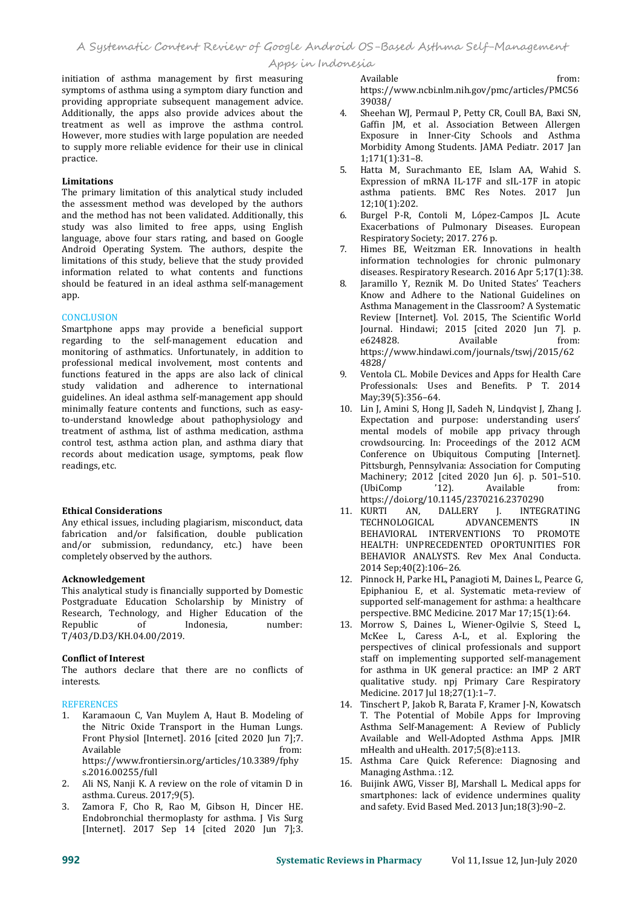initiation of asthma management by first measuring symptoms of asthma using a symptom diary function and  $h$ ttps://<br>providing appropriate subsequent management advice. 39038/ providing appropriate subsequent management advice.<br>Additionally the anns also provide advices about the 4 Additionally, the apps also provide advices about the treatment as well as improve the asthma control. However, more studies with large population are needed to supply more reliable evidence for their use in clinical practice.

## **Limitations**

The primary limitation of this analytical study included the assessment method was developed by the authors<br>and the method has not been validated. Additionally, this and the method has not been validated. Additionally, this study was also limited to free apps, using English language, above four stars rating, and based on Google<br>Android Operating System The authors despite the 3 Android Operating System. The authors, despite the limitations of this study, believe that the study provided information related to what contents and functions should be featured in an ideal asthma self-management app.

### **CONCLUSION**

Smartphone apps may provide a beneficial support [Journal, 1994]<br>regarding to the self-management education and  $624828$ regarding to the self-management education and monitoring of asthmatics. Unfortunately, in addition to https:<br>professional medical involvement. most contents and  $4828/$ professional medical involvement, most contents and<br>functions featured in the apps are also lack of clinical 9. study validation and adherence to international guidelines. An ideal asthma self-management app should minimally feature contents and functions, such as easy to-understand knowledge about pathophysiology and treatment of asthma, list of asthma medication, asthma control test, asthma action plan, and asthma diary that records about medication usage, symptoms, peak flow readings, etc.

### **Ethical Considerations**

Any ethical issues, including plagiarism, misconduct, data fabrication and/or falsification, double publication and/or submission, redundancy, etc.) have been completely observed by the authors.

### **Acknowledgement**

This analytical study is financially supported by Domestic Postgraduate Education Scholarship by Ministry of Research, Technology, and Higher Education of the<br>Republic of Indonesia, number: Republic of Indonesia, number: 13 T/403/D.D3/KH.04.00/2019.

### **Conflict of Interest**

The authors declare that there are no conflicts of interests.

# **REFERENCES**

- 1. Karamaoun C, Van Muylem A, Haut B. Modeling of the Nitric Oxide Transport in the Human Lungs. Front Physiol [Internet]. 2016 [cited 2020 Jun 7];7.<br>Available from: https://www.frontiersin.org/articles/10.3389/fphy 15. Asthma Care Quick s.2016.00255/full Managing Asthma.:12. s.2016.00255/full
- 2. Ali NS, Nanji K. A review on the role of vitamin D in asthma. Cureus. 2017;9(5).
- 3. Zamora F, Cho R, Rao M, Gibson H, Dincer HE. Endobronchial thermoplasty for asthma. J Vis Surg [Internet]. 2017 Sep 14 [cited 2020 Jun 7];3.

Available from: https://www.ncbi.nlm.nih.gov/pmc/articles/PMC56 39038/

- 4. Sheehan WJ, Permaul P, Petty CR, Coull BA, Baxi SN, Gaffin JM, et al. Association Between Allergen Exposure in Inner-City Schools and Asthma Morbidity Among Students. JAMA Pediatr. 2017 Jan 1;171(1):31–8.
- 5. Hatta M, Surachmanto EE, Islam AA, Wahid S. Expression of mRNA IL-17F and sIL-17F in atopic asthma patients. BMC Res Notes. 2017 Jun 12;10(1):202.
- 6. Burgel P-R, Contoli M, López-Campos JL. Acute Exacerbations of Pulmonary Diseases. European Respiratory Society; 2017. 276 p.
- 7. Himes BE, Weitzman ER. Innovations in health information technologies for chronic pulmonary diseases. Respiratory Research. 2016 Apr 5;17(1):38.
- Jaramillo Y, Reznik M. Do United States' Teachers Know and Adhere to the National Guidelines on Asthma Management in the Classroom? A Systematic Review [Internet]. Vol. 2015, The Scientific World Journal. Hindawi; 2015 [cited 2020 Jun 7]. p. e624828. Available from: https://www.hindawi.com/journals/tswj/2015/62 4828/
- 9. Ventola CL. Mobile Devices and Apps for Health Care Professionals: Uses and Benefits. P T. 2014 May;39(5):356–64.
- 10. Lin J, Amini S, Hong JI, Sadeh N, Lindqvist J, Zhang J. Expectation and purpose: understanding users' mental models of mobile app privacy through crowdsourcing. In: Proceedings of the 2012 ACM Conference on Ubiquitous Computing [Internet]. Pittsburgh, Pennsylvania: Association for Computing Machinery; 2012 [cited 2020 Jun 6]. p. 501-510.<br>(UbiComp '12). Available from: (UbiComp '12). Available from: https://doi.org/10.1145/2370216.2370290
- 11. KURTI AN, DALLERY J. INTEGRATING<br>TECHNOLOGICAL ADVANCEMENTS IN TECHNOLOGICAL BEHAVIORAL INTERVENTIONS TO PROMOTE HEALTH: UNPRECEDENTED OPORTUNITIES FOR BEHAVIOR ANALYSTS. Rev Mex Anal Conducta. 2014 Sep;40(2):106–26.
- 12. Pinnock H, Parke HL, Panagioti M, Daines L, Pearce G, Epiphaniou E, et al. Systematic meta-review of supported self-management for asthma: a healthcare perspective. BMC Medicine. 2017 Mar 17;15(1):64.
- 13. Morrow S, Daines L, Wiener-Ogilvie S, Steed L, McKee L, Caress A-L, et al. Exploring the perspectives of clinical professionals and support staff on implementing supported self-management for asthma in UK general practice: an IMP 2 ART qualitative study. npj Primary Care Respiratory Medicine. 2017 Jul 18;27(1):1-7.
- 14. Tinschert P, Jakob R, Barata F, Kramer J-N, Kowatsch T. The Potential of Mobile Apps for Improving Asthma Self-Management: A Review of Publicly Available and Well-Adopted Asthma Apps. JMIR mHealth and uHealth. 2017;5(8):e113.
- 15. Asthma Care Quick Reference: Diagnosing and
- 16. Buijink AWG, Visser BJ, Marshall L. Medical apps for smartphones: lack of evidence undermines quality and safety. Evid Based Med. 2013 Jun;18(3):90–2.